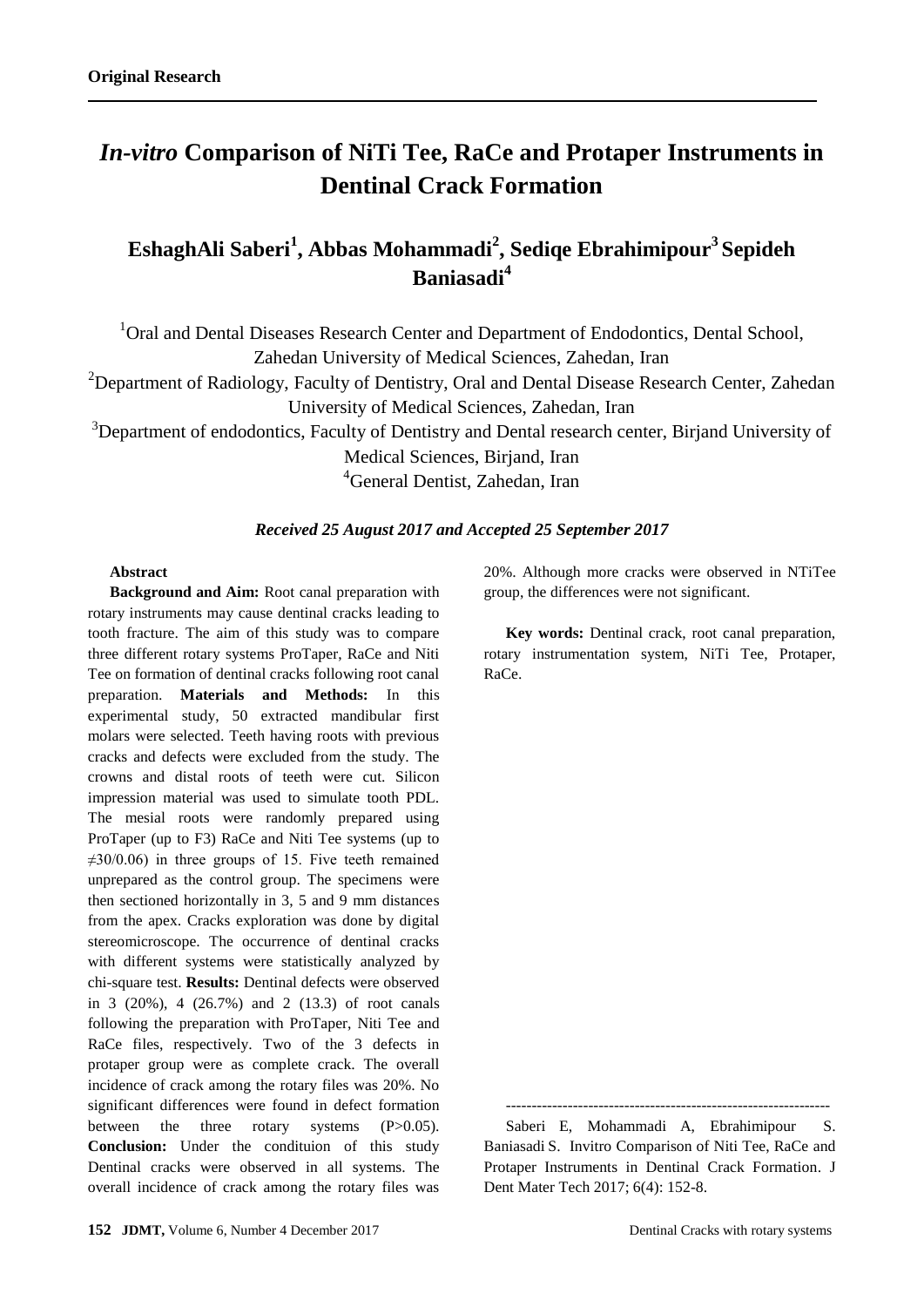# *In-vitro* **Comparison of NiTi Tee, RaCe and Protaper Instruments in Dentinal Crack Formation**

# **EshaghAli Saberi<sup>1</sup> , Abbas Mohammadi<sup>2</sup> , Sediqe Ebrahimipour<sup>3</sup>Sepideh Baniasadi<sup>4</sup>**

<sup>1</sup>Oral and Dental Diseases Research Center and Department of Endodontics, Dental School, Zahedan University of Medical Sciences, Zahedan, Iran

<sup>2</sup>Department of Radiology, Faculty of Dentistry, Oral and Dental Disease Research Center, Zahedan

University of Medical Sciences, Zahedan, Iran

<sup>3</sup>Department of endodontics, Faculty of Dentistry and Dental research center, Birjand University of

Medical Sciences, Birjand, Iran

<sup>4</sup>General Dentist, Zahedan, Iran

### *Received 25 August 2017 and Accepted 25 September 2017*

#### **Abstract**

**Background and Aim:** Root canal preparation with rotary instruments may cause dentinal cracks leading to tooth fracture. The aim of this study was to compare three different rotary systems ProTaper, RaCe and Niti Tee on formation of dentinal cracks following root canal preparation. **Materials and Methods:** In this experimental study, 50 extracted mandibular first molars were selected. Teeth having roots with previous cracks and defects were excluded from the study. The crowns and distal roots of teeth were cut. Silicon impression material was used to simulate tooth PDL. The mesial roots were randomly prepared using ProTaper (up to F3) RaCe and Niti Tee systems (up to  $\neq 30/0.06$ ) in three groups of 15. Five teeth remained unprepared as the control group. The specimens were then sectioned horizontally in 3, 5 and 9 mm distances from the apex. Cracks exploration was done by digital stereomicroscope. The occurrence of dentinal cracks with different systems were statistically analyzed by chi-square test. **Results:** Dentinal defects were observed in 3 (20%), 4 (26.7%) and 2 (13.3) of root canals following the preparation with ProTaper, Niti Tee and RaCe files, respectively. Two of the 3 defects in protaper group were as complete crack. The overall incidence of crack among the rotary files was 20%. No significant differences were found in defect formation between the three rotary systems (P>0.05). **Conclusion:** Under the condituion of this study Dentinal cracks were observed in all systems. The overall incidence of crack among the rotary files was 20%. Although more cracks were observed in NTiTee group, the differences were not significant.

**Key words:** Dentinal crack, root canal preparation, rotary instrumentation system, NiTi Tee, Protaper, RaCe.

--------------------------------------------------------------- Saberi E, Mohammadi A, Ebrahimipour S.

Baniasadi S. Invitro Comparison of Niti Tee, RaCe and Protaper Instruments in Dentinal Crack Formation. J Dent Mater Tech 2017; 6(4): 152-8.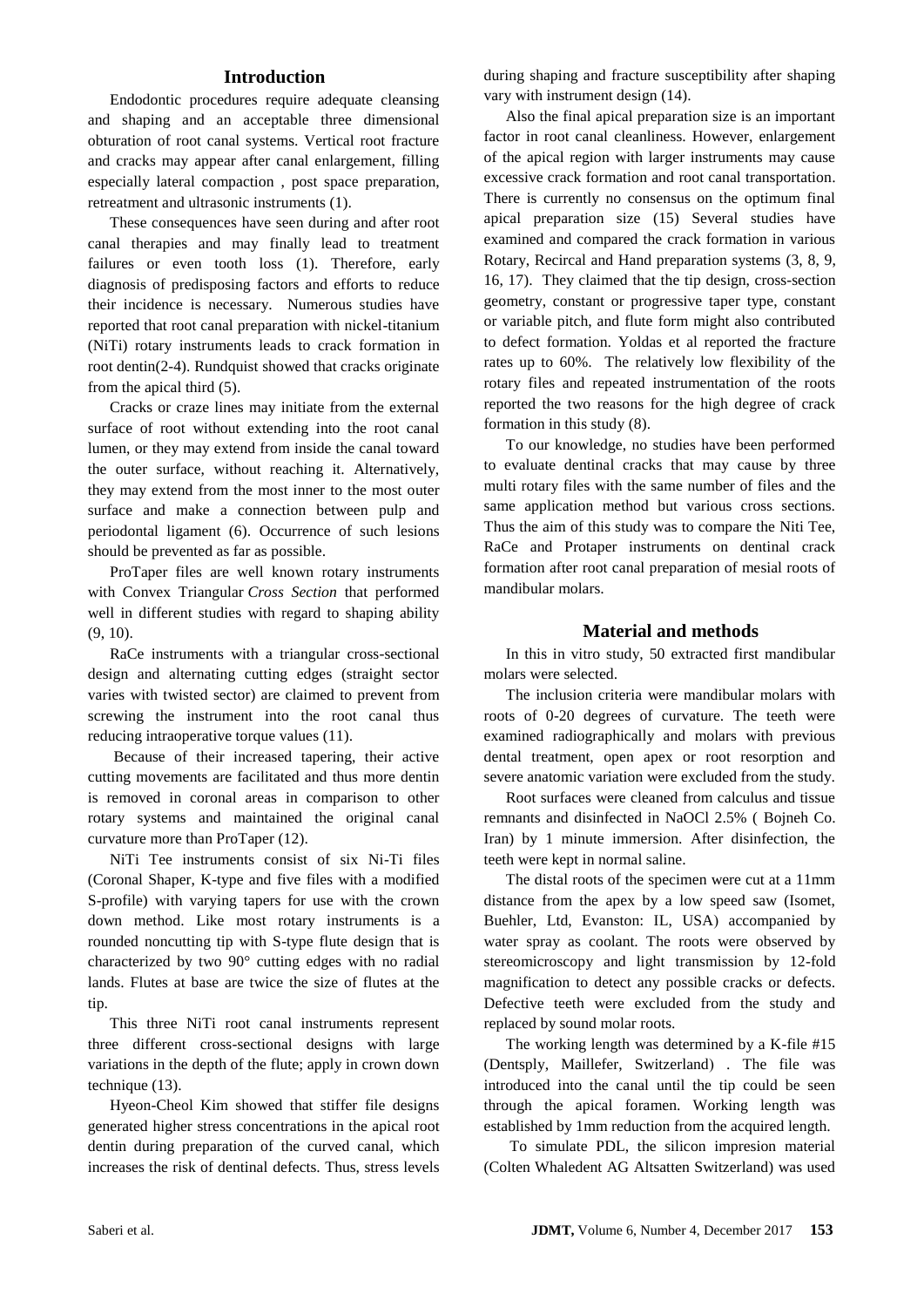#### **Introduction**

Endodontic procedures require adequate cleansing and shaping and an acceptable three dimensional obturation of root canal systems. Vertical root fracture and cracks may appear after canal enlargement, filling especially lateral compaction , post space preparation, retreatment and ultrasonic instruments [\(1\)](#page-4-0).

These consequences have seen during and after root canal therapies and may finally lead to treatment failures or even tooth loss [\(1\)](#page-4-0). Therefore, early diagnosis of predisposing factors and efforts to reduce their incidence is necessary. Numerous studies have reported that root canal preparation with nickel-titanium (NiTi) rotary instruments leads to crack formation in root dentin[\(2-4\)](#page-4-1). Rundquist showed that cracks originate from the apical third [\(5\)](#page-4-2).

Cracks or craze lines may initiate from the external surface of root without extending into the root canal lumen, or they may extend from inside the canal toward the outer surface, without reaching it. Alternatively, they may extend from the most inner to the most outer surface and make a connection between pulp and periodontal ligament [\(6\)](#page-4-3). Occurrence of such lesions should be prevented as far as possible.

ProTaper files are well known rotary instruments with Convex Triangular *Cross Section* that performed well in different studies with regard to shaping ability [\(9,](#page-5-0) [10\)](#page-5-1).

RaCe instruments with a triangular cross-sectional design and alternating cutting edges (straight sector varies with twisted sector) are claimed to prevent from screwing the instrument into the root canal thus reducing intraoperative torque values [\(11\)](#page-5-2).

Because of their increased tapering, their active cutting movements are facilitated and thus more dentin is removed in coronal areas in comparison to other rotary systems and maintained the original canal curvature more than ProTaper [\(12\)](#page-5-3).

NiTi Tee instruments consist of six Ni-Ti files (Coronal Shaper, K-type and five files with a modified S-profile) with varying tapers for use with the crown down method. Like most rotary instruments is a rounded noncutting tip with S-type flute design that is characterized by two 90° cutting edges with no radial lands. Flutes at base are twice the size of flutes at the tip.

This three NiTi root canal instruments represent three different cross-sectional designs with large variations in the depth of the flute; apply in crown down technique [\(13\)](#page-5-4).

Hyeon-Cheol Kim showed that stiffer file designs generated higher stress concentrations in the apical root dentin during preparation of the curved canal, which increases the risk of dentinal defects. Thus, stress levels during shaping and fracture susceptibility after shaping vary with instrument design [\(14\)](#page-5-5).

Also the final apical preparation size is an important factor in root canal cleanliness. However, enlargement of the apical region with larger instruments may cause excessive crack formation and root canal transportation. There is currently no consensus on the optimum final apical preparation size [\(15\)](#page-5-6) Several studies have examined and compared the crack formation in various Rotary, Recircal and Hand preparation systems [\(3,](#page-4-4) [8,](#page-5-7) [9,](#page-5-0) [16,](#page-5-8) [17\)](#page-5-9). They claimed that the tip design, cross-section geometry, constant or progressive taper type, constant or variable pitch, and flute form might also contributed to defect formation. Yoldas et al reported the fracture rates up to 60%. The relatively low flexibility of the rotary files and repeated instrumentation of the roots reported the two reasons for the high degree of crack formation in this study [\(8\)](#page-5-7).

To our knowledge, no studies have been performed to evaluate dentinal cracks that may cause by three multi rotary files with the same number of files and the same application method but various cross sections. Thus the aim of this study was to compare the Niti Tee, RaCe and Protaper instruments on dentinal crack formation after root canal preparation of mesial roots of mandibular molars.

#### **Material and methods**

In this in vitro study, 50 extracted first mandibular molars were selected.

The inclusion criteria were mandibular molars with roots of 0-20 degrees of curvature. The teeth were examined radiographically and molars with previous dental treatment, open apex or root resorption and severe anatomic variation were excluded from the study.

Root surfaces were cleaned from calculus and tissue remnants and disinfected in NaOCl 2.5% ( Bojneh Co. Iran) by 1 minute immersion. After disinfection, the teeth were kept in normal saline.

The distal roots of the specimen were cut at a 11mm distance from the apex by a low speed saw (Isomet, Buehler, Ltd, Evanston: IL, USA) accompanied by water spray as coolant. The roots were observed by stereomicroscopy and light transmission by 12-fold magnification to detect any possible cracks or defects. Defective teeth were excluded from the study and replaced by sound molar roots.

The working length was determined by a K-file #15 (Dentsply, Maillefer, Switzerland) . The file was introduced into the canal until the tip could be seen through the apical foramen. Working length was established by 1mm reduction from the acquired length.

To simulate PDL, the silicon impresion material (Colten Whaledent AG Altsatten Switzerland) was used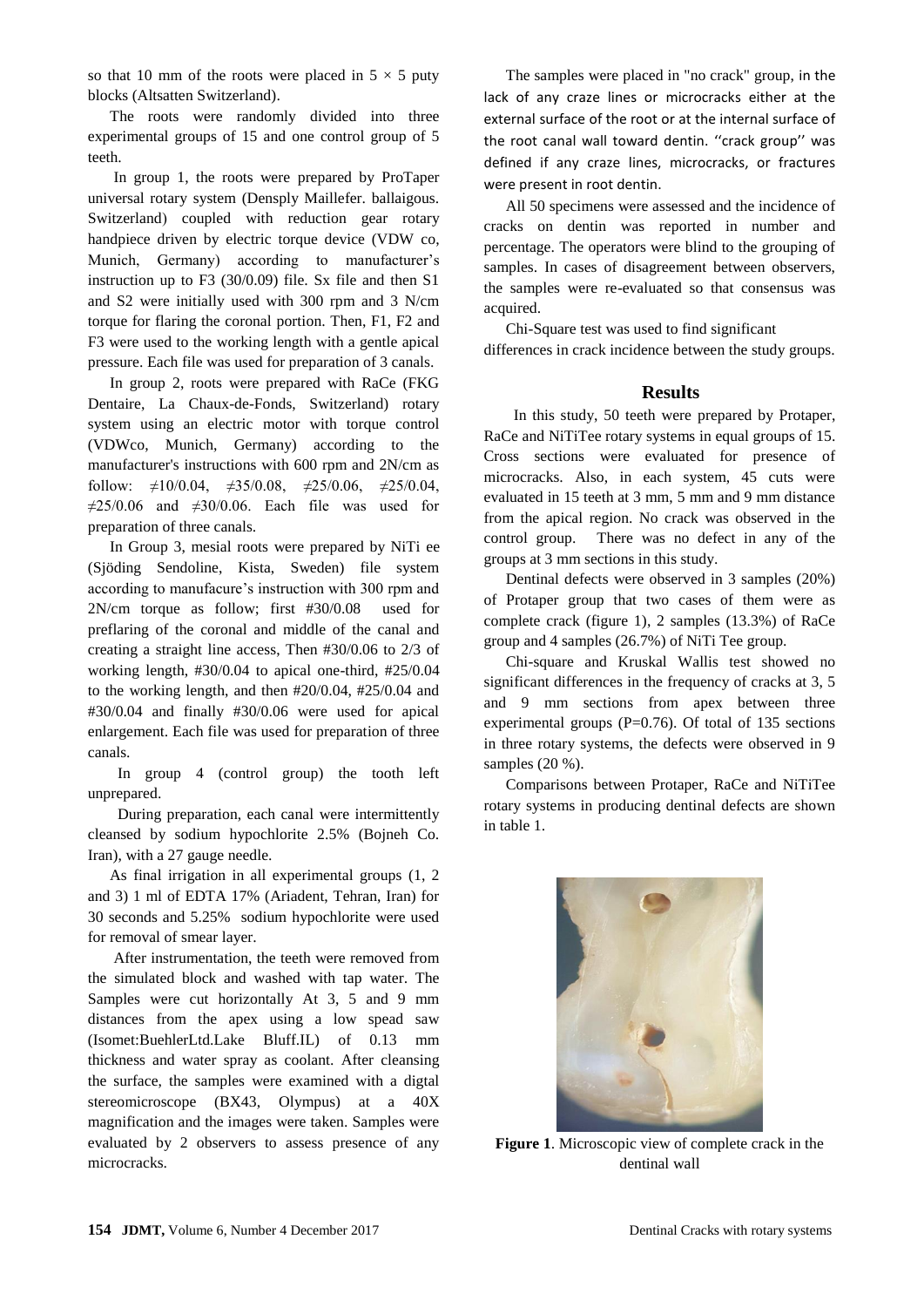so that 10 mm of the roots were placed in  $5 \times 5$  puty blocks (Altsatten Switzerland).

The roots were randomly divided into three experimental groups of 15 and one control group of 5 teeth.

In group 1, the roots were prepared by ProTaper universal rotary system (Densply Maillefer. ballaigous. Switzerland) coupled with reduction gear rotary handpiece driven by electric torque device (VDW co, Munich, Germany) according to manufacturer's instruction up to F3 (30/0.09) file. Sx file and then S1 and S2 were initially used with 300 rpm and 3 N/cm torque for flaring the coronal portion. Then, F1, F2 and F3 were used to the working length with a gentle apical pressure. Each file was used for preparation of 3 canals.

In group 2, roots were prepared with RaCe (FKG Dentaire, La Chaux-de-Fonds, Switzerland) rotary system using an electric motor with torque control (VDWco, Munich, Germany) according to the manufacturer's instructions with 600 rpm and 2N/cm as follow:  $\neq$ 10/0.04,  $\neq$ 35/0.08,  $\neq$ 25/0.06,  $\neq$ 25/0.04,  $\neq$ 25/0.06 and  $\neq$ 30/0.06. Each file was used for preparation of three canals.

In Group 3, mesial roots were prepared by NiTi ee (Sjöding Sendoline, Kista, Sweden) file system according to manufacure's instruction with 300 rpm and 2N/cm torque as follow; first #30/0.08 used for preflaring of the coronal and middle of the canal and creating a straight line access, Then #30/0.06 to 2/3 of working length, #30/0.04 to apical one-third, #25/0.04 to the working length, and then #20/0.04, #25/0.04 and #30/0.04 and finally #30/0.06 were used for apical enlargement. Each file was used for preparation of three canals.

 In group 4 (control group) the tooth left unprepared.

 During preparation, each canal were intermittently cleansed by sodium hypochlorite 2.5% (Bojneh Co. Iran), with a 27 gauge needle.

As final irrigation in all experimental groups (1, 2 and 3) 1 ml of EDTA 17% (Ariadent, Tehran, Iran) for 30 seconds and 5.25% sodium hypochlorite were used for removal of smear layer.

After instrumentation, the teeth were removed from the simulated block and washed with tap water. The Samples were cut horizontally At 3, 5 and 9 mm distances from the apex using a low spead saw (Isomet:BuehlerLtd.Lake Bluff.IL) of 0.13 mm thickness and water spray as coolant. After cleansing the surface, the samples were examined with a digtal stereomicroscope (BX43, Olympus) at a 40X magnification and the images were taken. Samples were evaluated by 2 observers to assess presence of any microcracks.

The samples were placed in "no crack" group, in the lack of any craze lines or microcracks either at the external surface of the root or at the internal surface of the root canal wall toward dentin. ''crack group'' was defined if any craze lines, microcracks, or fractures were present in root dentin.

All 50 specimens were assessed and the incidence of cracks on dentin was reported in number and percentage. The operators were blind to the grouping of samples. In cases of disagreement between observers, the samples were re-evaluated so that consensus was acquired.

Chi-Square test was used to find significant differences in crack incidence between the study groups.

#### **Results**

 In this study, 50 teeth were prepared by Protaper, RaCe and NiTiTee rotary systems in equal groups of 15. Cross sections were evaluated for presence of microcracks. Also, in each system, 45 cuts were evaluated in 15 teeth at 3 mm, 5 mm and 9 mm distance from the apical region. No crack was observed in the control group. There was no defect in any of the groups at 3 mm sections in this study.

Dentinal defects were observed in 3 samples (20%) of Protaper group that two cases of them were as complete crack (figure 1), 2 samples (13.3%) of RaCe group and 4 samples (26.7%) of NiTi Tee group.

Chi-square and Kruskal Wallis test showed no significant differences in the frequency of cracks at 3, 5 and 9 mm sections from apex between three experimental groups  $(P=0.76)$ . Of total of 135 sections in three rotary systems, the defects were observed in 9 samples (20 %).

Comparisons between Protaper, RaCe and NiTiTee rotary systems in producing dentinal defects are shown in table 1.



**Figure 1**. Microscopic view of complete crack in the dentinal wall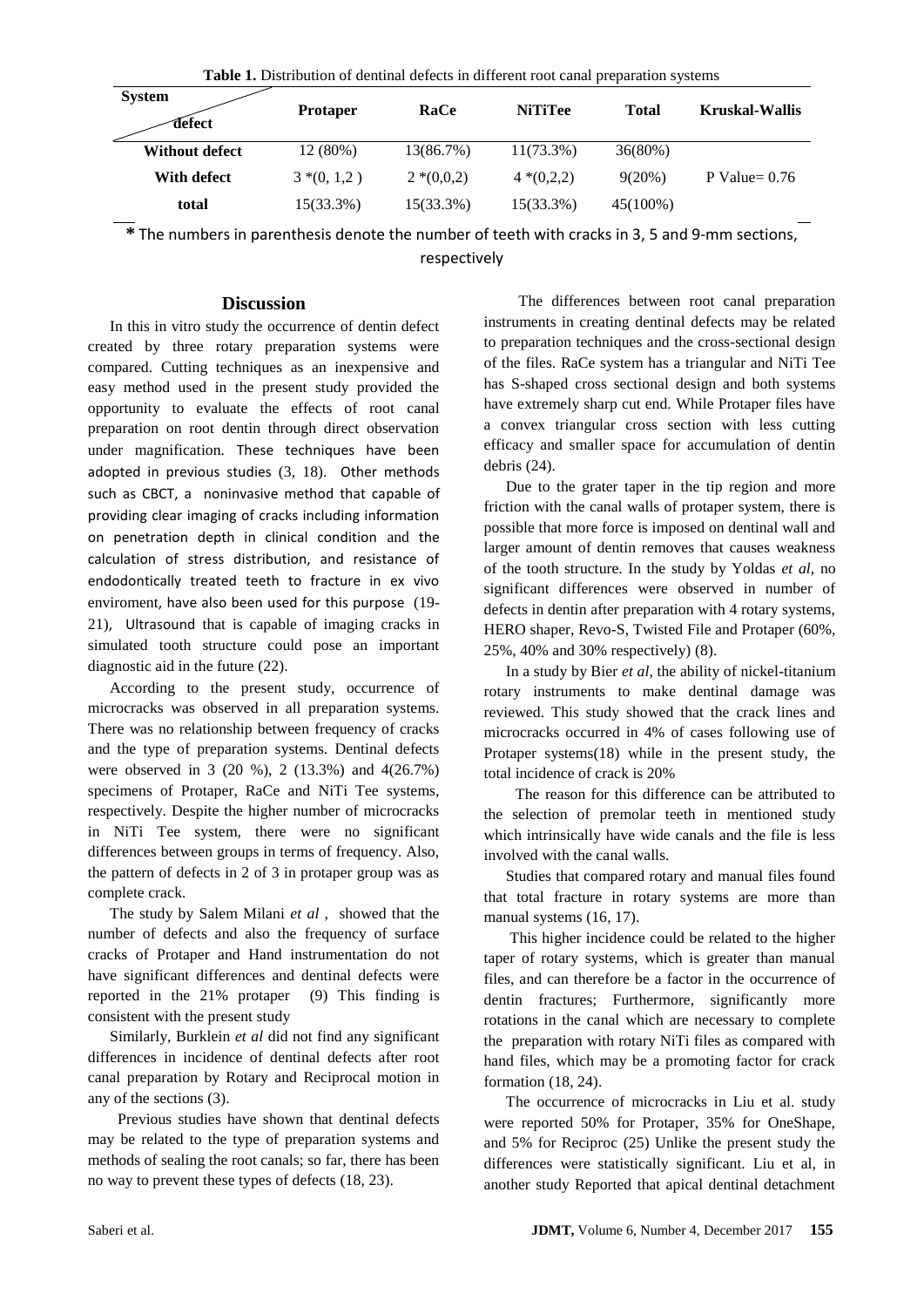| <b>rable 1.</b> Distribution of defiting defects in different foot canal preparation systems |                 |             |                |              |                 |
|----------------------------------------------------------------------------------------------|-----------------|-------------|----------------|--------------|-----------------|
| <b>System</b><br>defect                                                                      | <b>Protaper</b> | RaCe        | <b>NiTiTee</b> | <b>Total</b> | Kruskal-Wallis  |
| <b>Without defect</b>                                                                        | 12 (80%)        | 13(86.7%)   | $11(73.3\%)$   | 36(80%)      |                 |
| With defect                                                                                  | $3*(0, 1, 2)$   | $2*(0,0,2)$ | $4*(0,2,2)$    | $9(20\%)$    | P Value= $0.76$ |
| total                                                                                        | 15(33.3%)       | 15(33.3%)   | 15(33.3%)      | 45(100%)     |                 |

**Table 1.** Distribution of dentinal defects in different root canal preparation systems

**\*** The numbers in parenthesis denote the number of teeth with cracks in 3, 5 and 9-mm sections,

respectively

## **Discussion**

In this in vitro study the occurrence of dentin defect created by three rotary preparation systems were compared. Cutting techniques as an inexpensive and easy method used in the present study provided the opportunity to evaluate the effects of root canal preparation on root dentin through direct observation under magnification. These techniques have been adopted in previous studies [\(3,](#page-4-4) [18\)](#page-5-10). Other methods such as CBCT, a noninvasive method that capable of providing clear imaging of cracks including information on penetration depth in clinical condition and the calculation of stress distribution, and resistance of endodontically treated teeth to fracture in ex vivo enviroment, have also been used for this purpose [\(19-](#page-5-11) [21\)](#page-5-11), Ultrasound that is capable of imaging cracks in simulated tooth structure could pose an important diagnostic aid in the future [\(22\)](#page-5-12).

According to the present study, occurrence of microcracks was observed in all preparation systems. There was no relationship between frequency of cracks and the type of preparation systems. Dentinal defects were observed in 3 (20 %), 2 (13.3%) and 4(26.7%) specimens of Protaper, RaCe and NiTi Tee systems, respectively. Despite the higher number of microcracks in NiTi Tee system, there were no significant differences between groups in terms of frequency. Also, the pattern of defects in 2 of 3 in protaper group was as complete crack.

The study by Salem Milani *et al* , showed that the number of defects and also the frequency of surface cracks of Protaper and Hand instrumentation do not have significant differences and dentinal defects were reported in the 21% protaper [\(9\)](#page-5-0) This finding is consistent with the present study

Similarly, Burklein *et al* did not find any significant differences in incidence of dentinal defects after root canal preparation by Rotary and Reciprocal motion in any of the sections [\(3\)](#page-4-4).

 Previous studies have shown that dentinal defects may be related to the type of preparation systems and methods of sealing the root canals; so far, there has been no way to prevent these types of defects [\(18,](#page-5-10) [23\)](#page-5-13).

The differences between root canal preparation instruments in creating dentinal defects may be related to preparation techniques and the cross-sectional design of the files. RaCe system has a triangular and NiTi Tee has S-shaped cross sectional design and both systems have extremely sharp cut end. While Protaper files have a convex triangular cross section with less cutting efficacy and smaller space for accumulation of dentin debris [\(24\)](#page-5-14).

Due to the grater taper in the tip region and more friction with the canal walls of protaper system, there is possible that more force is imposed on dentinal wall and larger amount of dentin removes that causes weakness of the tooth structure. In the study by Yoldas *et al*, no significant differences were observed in number of defects in dentin after preparation with 4 rotary systems, HERO shaper, Revo-S, Twisted File and Protaper (60%, 25%, 40% and 30% respectively) [\(8\)](#page-5-7).

In a study by Bier *et al*, the ability of nickel-titanium rotary instruments to make dentinal damage was reviewed. This study showed that the crack lines and microcracks occurred in 4% of cases following use of Protaper systems[\(18\)](#page-5-10) while in the present study, the total incidence of crack is 20%

The reason for this difference can be attributed to the selection of premolar teeth in mentioned study which intrinsically have wide canals and the file is less involved with the canal walls.

Studies that compared rotary and manual files found that total fracture in rotary systems are more than manual systems  $(16, 17)$  $(16, 17)$ .

This higher incidence could be related to the higher taper of rotary systems, which is greater than manual files, and can therefore be a factor in the occurrence of dentin fractures; Furthermore, significantly more rotations in the canal which are necessary to complete the preparation with rotary NiTi files as compared with hand files, which may be a promoting factor for crack formation [\(18,](#page-5-10) [24\)](#page-5-14).

The occurrence of microcracks in Liu et al. study were reported 50% for Protaper, 35% for OneShape, and 5% for Reciproc [\(25\)](#page-6-0) Unlike the present study the differences were statistically significant. Liu et al, in another study Reported that apical dentinal detachment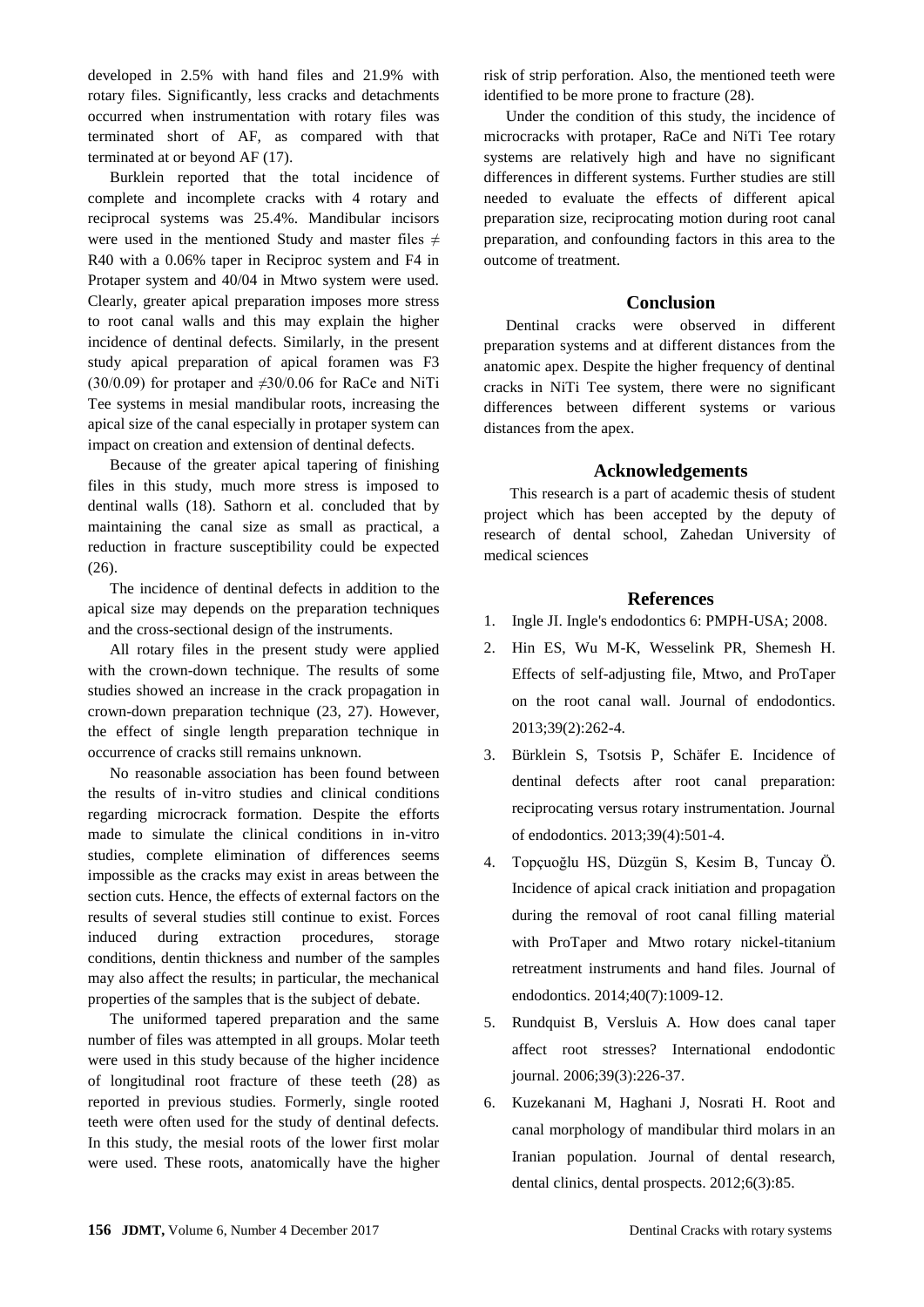developed in 2.5% with hand files and 21.9% with rotary files. Significantly, less cracks and detachments occurred when instrumentation with rotary files was terminated short of AF, as compared with that terminated at or beyond AF [\(17\)](#page-5-9).

Burklein reported that the total incidence of complete and incomplete cracks with 4 rotary and reciprocal systems was 25.4%. Mandibular incisors were used in the mentioned Study and master files  $\neq$ R40 with a 0.06% taper in Reciproc system and F4 in Protaper system and 40/04 in Mtwo system were used. Clearly, greater apical preparation imposes more stress to root canal walls and this may explain the higher incidence of dentinal defects. Similarly, in the present study apical preparation of apical foramen was F3 (30/0.09) for protaper and  $\neq$ 30/0.06 for RaCe and NiTi Tee systems in mesial mandibular roots, increasing the apical size of the canal especially in protaper system can impact on creation and extension of dentinal defects.

Because of the greater apical tapering of finishing files in this study, much more stress is imposed to dentinal walls [\(18\)](#page-5-10). Sathorn et al. concluded that by maintaining the canal size as small as practical, a reduction in fracture susceptibility could be expected [\(26\)](#page-6-1).

The incidence of dentinal defects in addition to the apical size may depends on the preparation techniques and the cross-sectional design of the instruments.

All rotary files in the present study were applied with the crown-down technique. The results of some studies showed an increase in the crack propagation in crown-down preparation technique [\(23,](#page-5-13) [27\)](#page-6-2). However, the effect of single length preparation technique in occurrence of cracks still remains unknown.

No reasonable association has been found between the results of in-vitro studies and clinical conditions regarding microcrack formation. Despite the efforts made to simulate the clinical conditions in in-vitro studies, complete elimination of differences seems impossible as the cracks may exist in areas between the section cuts. Hence, the effects of external factors on the results of several studies still continue to exist. Forces induced during extraction procedures, storage conditions, dentin thickness and number of the samples may also affect the results; in particular, the mechanical properties of the samples that is the subject of debate.

The uniformed tapered preparation and the same number of files was attempted in all groups. Molar teeth were used in this study because of the higher incidence of longitudinal root fracture of these teeth [\(28\)](#page-6-3) as reported in previous studies. Formerly, single rooted teeth were often used for the study of dentinal defects. In this study, the mesial roots of the lower first molar were used. These roots, anatomically have the higher risk of strip perforation. Also, the mentioned teeth were identified to be more prone to fracture [\(28\)](#page-6-3).

Under the condition of this study, the incidence of microcracks with protaper, RaCe and NiTi Tee rotary systems are relatively high and have no significant differences in different systems. Further studies are still needed to evaluate the effects of different apical preparation size, reciprocating motion during root canal preparation, and confounding factors in this area to the outcome of treatment.

#### **Conclusion**

Dentinal cracks were observed in different preparation systems and at different distances from the anatomic apex. Despite the higher frequency of dentinal cracks in NiTi Tee system, there were no significant differences between different systems or various distances from the apex.

#### **Acknowledgements**

This research is a part of academic thesis of student project which has been accepted by the deputy of research of dental school, Zahedan University of medical sciences

#### **References**

- <span id="page-4-0"></span>1. Ingle JI. Ingle's endodontics 6: PMPH-USA; 2008.
- <span id="page-4-1"></span>2. Hin ES, Wu M-K, Wesselink PR, Shemesh H. Effects of self-adjusting file, Mtwo, and ProTaper on the root canal wall. Journal of endodontics. 2013;39(2):262-4.
- <span id="page-4-4"></span>3. Bürklein S, Tsotsis P, Schäfer E. Incidence of dentinal defects after root canal preparation: reciprocating versus rotary instrumentation. Journal of endodontics. 2013;39(4):501-4.
- 4. Topçuoğlu HS, Düzgün S, Kesim B, Tuncay Ö. Incidence of apical crack initiation and propagation during the removal of root canal filling material with ProTaper and Mtwo rotary nickel-titanium retreatment instruments and hand files. Journal of endodontics. 2014;40(7):1009-12.
- <span id="page-4-2"></span>5. Rundquist B, Versluis A. How does canal taper affect root stresses? International endodontic journal. 2006;39(3):226-37.
- <span id="page-4-3"></span>6. Kuzekanani M, Haghani J, Nosrati H. Root and canal morphology of mandibular third molars in an Iranian population. Journal of dental research, dental clinics, dental prospects. 2012;6(3):85.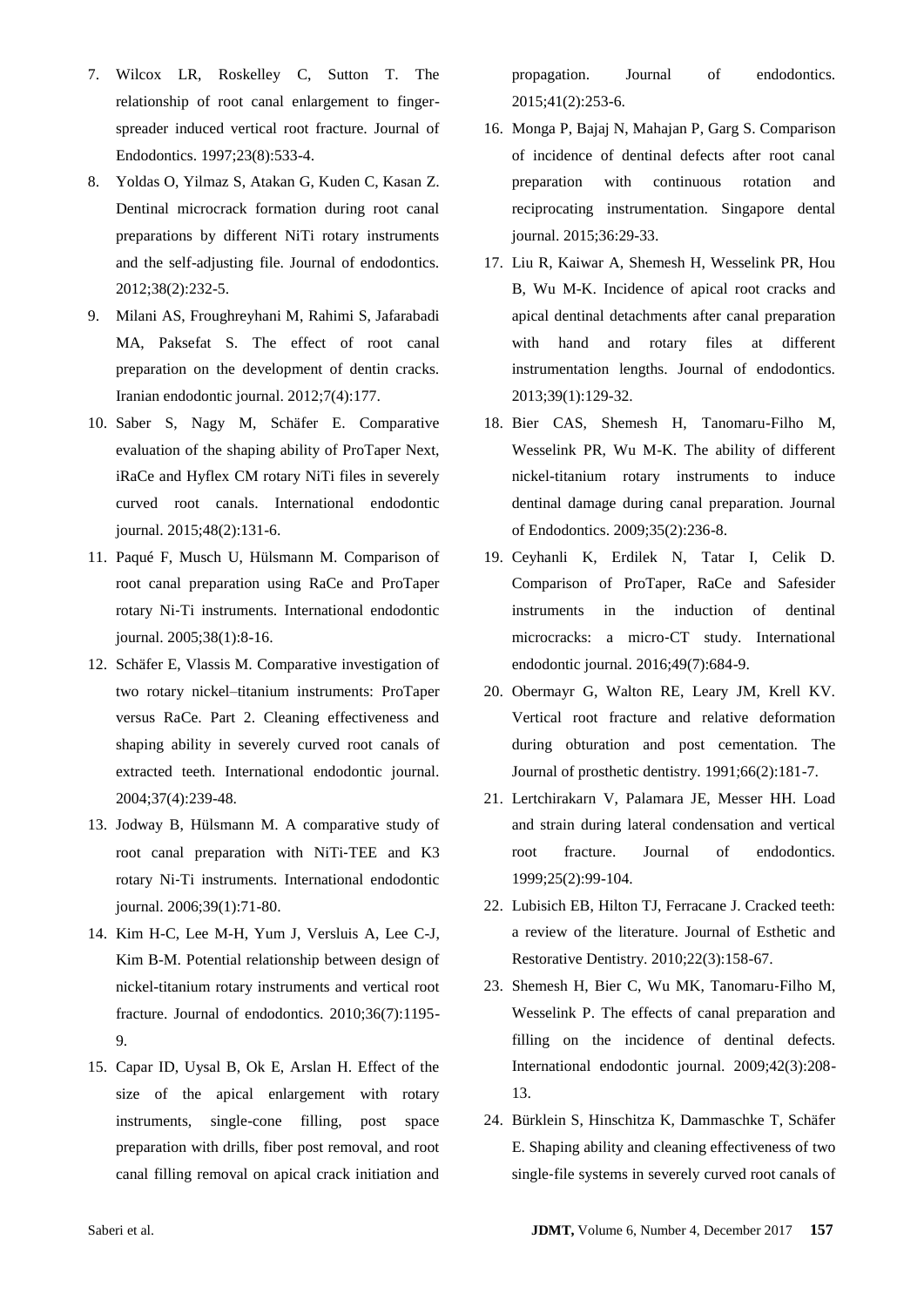- 7. Wilcox LR, Roskelley C, Sutton T. The relationship of root canal enlargement to fingerspreader induced vertical root fracture. Journal of Endodontics. 1997;23(8):533-4.
- <span id="page-5-7"></span>8. Yoldas O, Yilmaz S, Atakan G, Kuden C, Kasan Z. Dentinal microcrack formation during root canal preparations by different NiTi rotary instruments and the self-adjusting file. Journal of endodontics. 2012;38(2):232-5.
- <span id="page-5-0"></span>9. Milani AS, Froughreyhani M, Rahimi S, Jafarabadi MA, Paksefat S. The effect of root canal preparation on the development of dentin cracks. Iranian endodontic journal. 2012;7(4):177.
- <span id="page-5-1"></span>10. Saber S, Nagy M, Schäfer E. Comparative evaluation of the shaping ability of ProTaper Next, iRaCe and Hyflex CM rotary NiTi files in severely curved root canals. International endodontic journal. 2015;48(2):131-6.
- <span id="page-5-2"></span>11. Paqué F, Musch U, Hülsmann M. Comparison of root canal preparation using RaCe and ProTaper rotary Ni‐Ti instruments. International endodontic journal. 2005;38(1):8-16.
- <span id="page-5-3"></span>12. Schäfer E, Vlassis M. Comparative investigation of two rotary nickel–titanium instruments: ProTaper versus RaCe. Part 2. Cleaning effectiveness and shaping ability in severely curved root canals of extracted teeth. International endodontic journal. 2004;37(4):239-48.
- <span id="page-5-4"></span>13. Jodway B, Hülsmann M. A comparative study of root canal preparation with NiTi‐TEE and K3 rotary Ni‐Ti instruments. International endodontic journal. 2006;39(1):71-80.
- <span id="page-5-5"></span>14. Kim H-C, Lee M-H, Yum J, Versluis A, Lee C-J, Kim B-M. Potential relationship between design of nickel-titanium rotary instruments and vertical root fracture. Journal of endodontics. 2010;36(7):1195- 9.
- <span id="page-5-6"></span>15. Capar ID, Uysal B, Ok E, Arslan H. Effect of the size of the apical enlargement with rotary instruments, single-cone filling, post space preparation with drills, fiber post removal, and root canal filling removal on apical crack initiation and

propagation. Journal of endodontics. 2015;41(2):253-6.

- <span id="page-5-8"></span>16. Monga P, Bajaj N, Mahajan P, Garg S. Comparison of incidence of dentinal defects after root canal preparation with continuous rotation and reciprocating instrumentation. Singapore dental journal. 2015;36:29-33.
- <span id="page-5-9"></span>17. Liu R, Kaiwar A, Shemesh H, Wesselink PR, Hou B, Wu M-K. Incidence of apical root cracks and apical dentinal detachments after canal preparation with hand and rotary files at different instrumentation lengths. Journal of endodontics. 2013;39(1):129-32.
- <span id="page-5-10"></span>18. Bier CAS, Shemesh H, Tanomaru-Filho M, Wesselink PR, Wu M-K. The ability of different nickel-titanium rotary instruments to induce dentinal damage during canal preparation. Journal of Endodontics. 2009;35(2):236-8.
- <span id="page-5-11"></span>19. Ceyhanli K, Erdilek N, Tatar I, Celik D. Comparison of ProTaper, RaCe and Safesider instruments in the induction of dentinal microcracks: a micro‐CT study. International endodontic journal. 2016;49(7):684-9.
- 20. Obermayr G, Walton RE, Leary JM, Krell KV. Vertical root fracture and relative deformation during obturation and post cementation. The Journal of prosthetic dentistry. 1991;66(2):181-7.
- 21. Lertchirakarn V, Palamara JE, Messer HH. Load and strain during lateral condensation and vertical root fracture. Journal of endodontics. 1999;25(2):99-104.
- <span id="page-5-12"></span>22. Lubisich EB, Hilton TJ, Ferracane J. Cracked teeth: a review of the literature. Journal of Esthetic and Restorative Dentistry. 2010;22(3):158-67.
- <span id="page-5-13"></span>23. Shemesh H, Bier C, Wu MK, Tanomaru‐Filho M, Wesselink P. The effects of canal preparation and filling on the incidence of dentinal defects. International endodontic journal. 2009;42(3):208- 13.
- <span id="page-5-14"></span>24. Bürklein S, Hinschitza K, Dammaschke T, Schäfer E. Shaping ability and cleaning effectiveness of two single‐file systems in severely curved root canals of